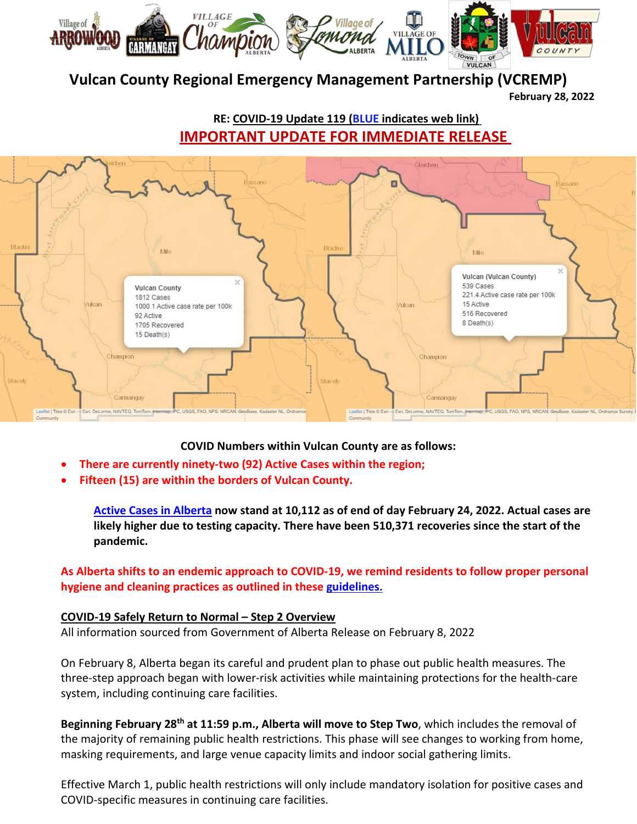

# **Vulcan County Regional Emergency Management Partnership (VCREMP)**

**February 28, 2022**

**RE: COVID-19 Update 119 (BLUE indicates web link) IMPORTANT UPDATE FOR IMMEDIATE RELEASE** 



**COVID Numbers within Vulcan County are as follows:**

- **There are currently ninety-two (92) Active Cases within the region;**
- **Fifteen (15) are within the borders of Vulcan County.**

**[Active Cases in Alberta](https://www.alberta.ca/covid-19-alberta-data.aspx) now stand at 10,112 as of end of day February 24, 2022. Actual cases are likely higher due to testing capacity. There have been 510,371 recoveries since the start of the pandemic.**

**As Alberta shifts to an endemic approach to COVID-19, we remind residents to follow proper personal hygiene and cleaning practices as outlined in these [guidelines.](https://www.albertahealthservices.ca/topics/Page16944.aspx)**

### **COVID-19 Safely Return to Normal – Step 2 Overview**

All information sourced from Government of Alberta Release on February 8, 2022

On February 8, Alberta began its careful and prudent plan to phase out public health measures. The three-step approach began with lower-risk activities while maintaining protections for the health-care system, including continuing care facilities.

**Beginning February 28th at 11:59 p.m., Alberta will move to Step Two**, which includes the removal of the majority of remaining public health restrictions. This phase will see changes to working from home, masking requirements, and large venue capacity limits and indoor social gathering limits.

Effective March 1, public health restrictions will only include mandatory isolation for positive cases and COVID-specific measures in continuing care facilities.